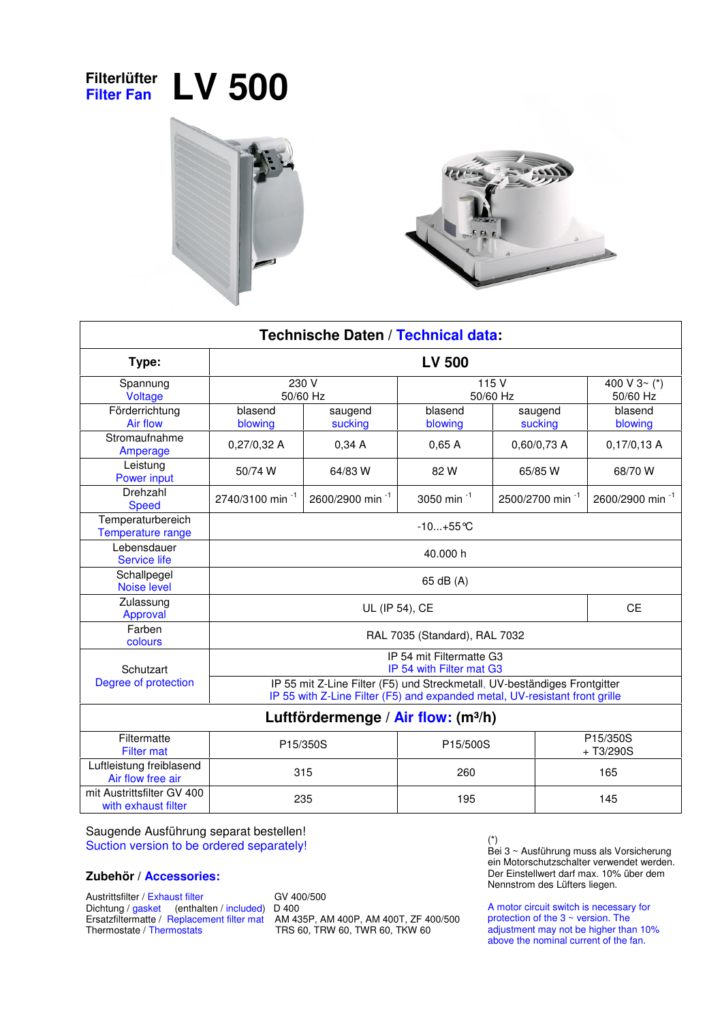## **Filterlüfter Filter Fan LV 500**





| Technische Daten / Technical data:                |                                                                                                                                                          |                             |                        |                             |                             |
|---------------------------------------------------|----------------------------------------------------------------------------------------------------------------------------------------------------------|-----------------------------|------------------------|-----------------------------|-----------------------------|
| Type:                                             | <b>LV 500</b>                                                                                                                                            |                             |                        |                             |                             |
| Spannung<br>Voltage                               | 230 V<br>50/60 Hz                                                                                                                                        |                             | 115 V<br>50/60 Hz      |                             | 400 V $3 - (*)$<br>50/60 Hz |
| Förderrichtung<br>Air flow                        | blasend<br>blowing                                                                                                                                       | saugend<br>sucking          | blasend<br>blowing     | saugend<br>sucking          | blasend<br>blowing          |
| Stromaufnahme<br>Amperage                         | 0,27/0,32 A                                                                                                                                              | 0,34A                       | 0,65A                  | 0,60/0,73 A                 | 0,17/0,13A                  |
| Leistung<br><b>Power input</b>                    | 50/74 W                                                                                                                                                  | 64/83 W                     | 82W                    | 65/85 W                     | 68/70 W                     |
| Drehzahl<br><b>Speed</b>                          | 2740/3100 min <sup>-1</sup>                                                                                                                              | 2600/2900 min <sup>-1</sup> | 3050 min <sup>-1</sup> | 2500/2700 min <sup>-1</sup> | 2600/2900 min <sup>-1</sup> |
| Temperaturbereich<br>Temperature range            | $-10+55$ °C                                                                                                                                              |                             |                        |                             |                             |
| Lebensdauer<br><b>Service life</b>                | 40.000 h                                                                                                                                                 |                             |                        |                             |                             |
| Schallpegel<br><b>Noise level</b>                 | 65 dB (A)                                                                                                                                                |                             |                        |                             |                             |
| Zulassung<br>Approval                             | UL (IP 54), CE                                                                                                                                           |                             |                        |                             | <b>CE</b>                   |
| Farben<br>colours                                 | RAL 7035 (Standard), RAL 7032                                                                                                                            |                             |                        |                             |                             |
| Schutzart                                         | IP 54 mit Filtermatte G3<br>IP 54 with Filter mat G3                                                                                                     |                             |                        |                             |                             |
| Degree of protection                              | IP 55 mit Z-Line Filter (F5) und Streckmetall, UV-beständiges Frontgitter<br>IP 55 with Z-Line Filter (F5) and expanded metal, UV-resistant front grille |                             |                        |                             |                             |
| Luftfördermenge / Air flow: (m <sup>3/h</sup> )   |                                                                                                                                                          |                             |                        |                             |                             |
| Filtermatte<br><b>Filter mat</b>                  | P15/350S                                                                                                                                                 |                             | P15/500S               |                             | P15/350S<br>$+T3/290S$      |
| Luftleistung freiblasend<br>Air flow free air     | 315                                                                                                                                                      |                             | 260                    |                             | 165                         |
| mit Austrittsfilter GV 400<br>with exhaust filter | 235                                                                                                                                                      |                             | 195                    |                             | 145                         |

Saugende Ausführung separat bestellen! Suction version to be ordered separately!

## **Zubehör / Accessories:**

Austrittsfilter / Exhaust filter GV 400/500 Dichtung / gasket (enthalten / included) D 400

Ersatzfiltermatte / Replacement filter mat AM 435P, AM 400P, AM 400T, ZF 400/500 Ersatzfiltermatte / Replacement filter mat<br>
Thermostate / Thermostats TRS 60, TRW 60, TWR 60, TKW 60

(\*) Bei 3 ~ Ausführung muss als Vorsicherung ein Motorschutzschalter verwendet werden. Der Einstellwert darf max. 10% über dem Nennstrom des Lüfters liegen.

A motor circuit switch is necessary for protection of the 3 ~ version. The adjustment may not be higher than 10% above the nominal current of the fan.